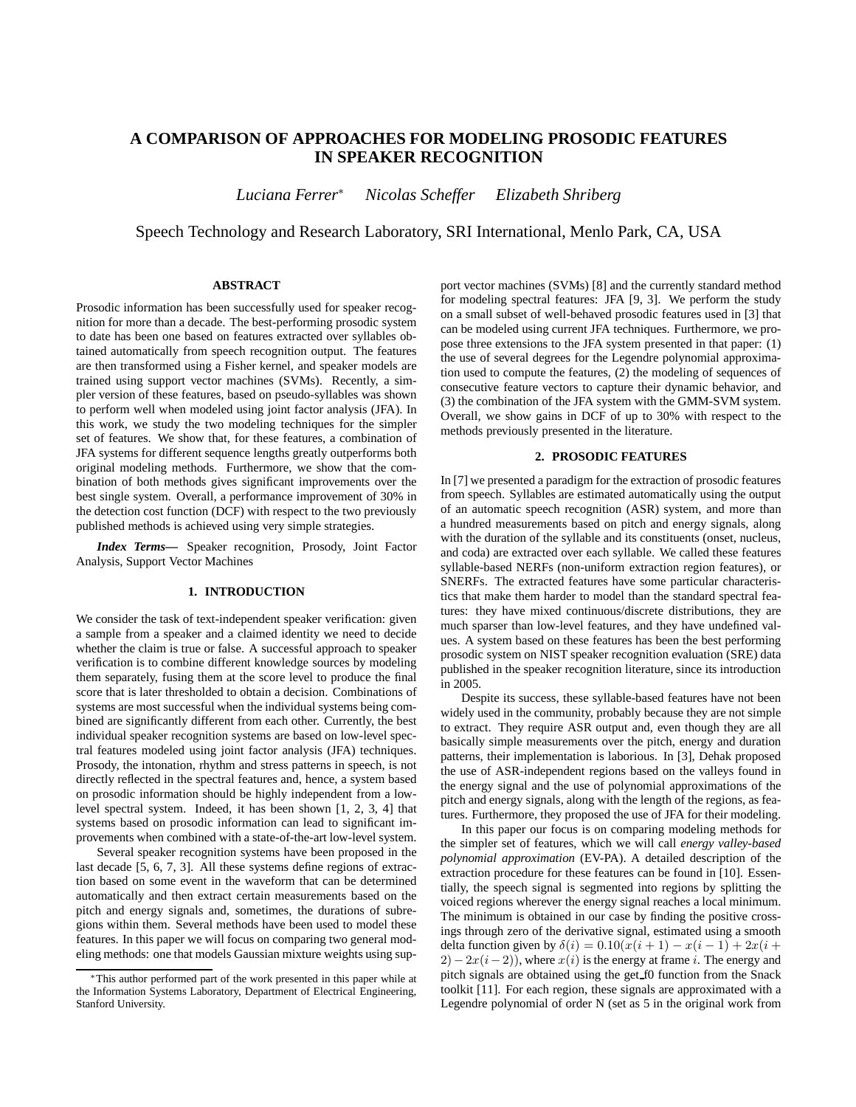# **A COMPARISON OF APPROACHES FOR MODELING PROSODIC FEATURES IN SPEAKER RECOGNITION**

*Luciana Ferrer*<sup>∗</sup> *Nicolas Scheffer Elizabeth Shriberg*

Speech Technology and Research Laboratory, SRI International, Menlo Park, CA, USA

# **ABSTRACT**

Prosodic information has been successfully used for speaker recognition for more than a decade. The best-performing prosodic system to date has been one based on features extracted over syllables obtained automatically from speech recognition output. The features are then transformed using a Fisher kernel, and speaker models are trained using support vector machines (SVMs). Recently, a simpler version of these features, based on pseudo-syllables was shown to perform well when modeled using joint factor analysis (JFA). In this work, we study the two modeling techniques for the simpler set of features. We show that, for these features, a combination of JFA systems for different sequence lengths greatly outperforms both original modeling methods. Furthermore, we show that the combination of both methods gives significant improvements over the best single system. Overall, a performance improvement of 30% in the detection cost function (DCF) with respect to the two previously published methods is achieved using very simple strategies.

*Index Terms***—** Speaker recognition, Prosody, Joint Factor Analysis, Support Vector Machines

### **1. INTRODUCTION**

We consider the task of text-independent speaker verification: given a sample from a speaker and a claimed identity we need to decide whether the claim is true or false. A successful approach to speaker verification is to combine different knowledge sources by modeling them separately, fusing them at the score level to produce the final score that is later thresholded to obtain a decision. Combinations of systems are most successful when the individual systems being combined are significantly different from each other. Currently, the best individual speaker recognition systems are based on low-level spectral features modeled using joint factor analysis (JFA) techniques. Prosody, the intonation, rhythm and stress patterns in speech, is not directly reflected in the spectral features and, hence, a system based on prosodic information should be highly independent from a lowlevel spectral system. Indeed, it has been shown [1, 2, 3, 4] that systems based on prosodic information can lead to significant improvements when combined with a state-of-the-art low-level system.

Several speaker recognition systems have been proposed in the last decade [5, 6, 7, 3]. All these systems define regions of extraction based on some event in the waveform that can be determined automatically and then extract certain measurements based on the pitch and energy signals and, sometimes, the durations of subregions within them. Several methods have been used to model these features. In this paper we will focus on comparing two general modeling methods: one that models Gaussian mixture weights using support vector machines (SVMs) [8] and the currently standard method for modeling spectral features: JFA [9, 3]. We perform the study on a small subset of well-behaved prosodic features used in [3] that can be modeled using current JFA techniques. Furthermore, we propose three extensions to the JFA system presented in that paper: (1) the use of several degrees for the Legendre polynomial approximation used to compute the features, (2) the modeling of sequences of consecutive feature vectors to capture their dynamic behavior, and (3) the combination of the JFA system with the GMM-SVM system. Overall, we show gains in DCF of up to 30% with respect to the methods previously presented in the literature.

#### **2. PROSODIC FEATURES**

In [7] we presented a paradigm for the extraction of prosodic features from speech. Syllables are estimated automatically using the output of an automatic speech recognition (ASR) system, and more than a hundred measurements based on pitch and energy signals, along with the duration of the syllable and its constituents (onset, nucleus, and coda) are extracted over each syllable. We called these features syllable-based NERFs (non-uniform extraction region features), or SNERFs. The extracted features have some particular characteristics that make them harder to model than the standard spectral features: they have mixed continuous/discrete distributions, they are much sparser than low-level features, and they have undefined values. A system based on these features has been the best performing prosodic system on NIST speaker recognition evaluation (SRE) data published in the speaker recognition literature, since its introduction in 2005.

Despite its success, these syllable-based features have not been widely used in the community, probably because they are not simple to extract. They require ASR output and, even though they are all basically simple measurements over the pitch, energy and duration patterns, their implementation is laborious. In [3], Dehak proposed the use of ASR-independent regions based on the valleys found in the energy signal and the use of polynomial approximations of the pitch and energy signals, along with the length of the regions, as features. Furthermore, they proposed the use of JFA for their modeling.

In this paper our focus is on comparing modeling methods for the simpler set of features, which we will call *energy valley-based polynomial approximation* (EV-PA). A detailed description of the extraction procedure for these features can be found in [10]. Essentially, the speech signal is segmented into regions by splitting the voiced regions wherever the energy signal reaches a local minimum. The minimum is obtained in our case by finding the positive crossings through zero of the derivative signal, estimated using a smooth delta function given by  $\delta(i) = 0.10(x(i + 1) - x(i - 1) + 2x(i + 1))$  $2) - 2x(i-2)$ , where  $x(i)$  is the energy at frame i. The energy and pitch signals are obtained using the get f0 function from the Snack toolkit [11]. For each region, these signals are approximated with a Legendre polynomial of order N (set as 5 in the original work from

<sup>∗</sup>This author performed part of the work presented in this paper while at the Information Systems Laboratory, Department of Electrical Engineering, Stanford University.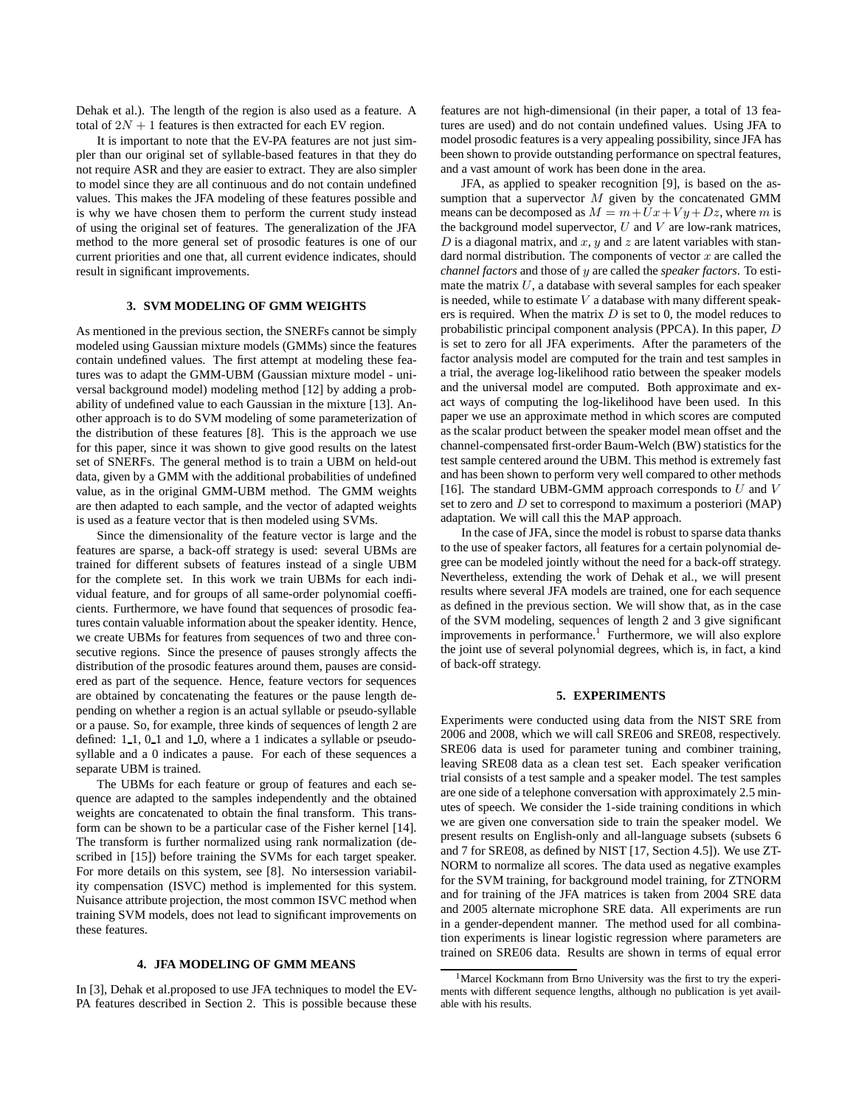Dehak et al.). The length of the region is also used as a feature. A total of  $2N + 1$  features is then extracted for each EV region.

It is important to note that the EV-PA features are not just simpler than our original set of syllable-based features in that they do not require ASR and they are easier to extract. They are also simpler to model since they are all continuous and do not contain undefined values. This makes the JFA modeling of these features possible and is why we have chosen them to perform the current study instead of using the original set of features. The generalization of the JFA method to the more general set of prosodic features is one of our current priorities and one that, all current evidence indicates, should result in significant improvements.

## **3. SVM MODELING OF GMM WEIGHTS**

As mentioned in the previous section, the SNERFs cannot be simply modeled using Gaussian mixture models (GMMs) since the features contain undefined values. The first attempt at modeling these features was to adapt the GMM-UBM (Gaussian mixture model - universal background model) modeling method [12] by adding a probability of undefined value to each Gaussian in the mixture [13]. Another approach is to do SVM modeling of some parameterization of the distribution of these features [8]. This is the approach we use for this paper, since it was shown to give good results on the latest set of SNERFs. The general method is to train a UBM on held-out data, given by a GMM with the additional probabilities of undefined value, as in the original GMM-UBM method. The GMM weights are then adapted to each sample, and the vector of adapted weights is used as a feature vector that is then modeled using SVMs.

Since the dimensionality of the feature vector is large and the features are sparse, a back-off strategy is used: several UBMs are trained for different subsets of features instead of a single UBM for the complete set. In this work we train UBMs for each individual feature, and for groups of all same-order polynomial coefficients. Furthermore, we have found that sequences of prosodic features contain valuable information about the speaker identity. Hence, we create UBMs for features from sequences of two and three consecutive regions. Since the presence of pauses strongly affects the distribution of the prosodic features around them, pauses are considered as part of the sequence. Hence, feature vectors for sequences are obtained by concatenating the features or the pause length depending on whether a region is an actual syllable or pseudo-syllable or a pause. So, for example, three kinds of sequences of length 2 are defined: 1.1, 0.1 and 1.0, where a 1 indicates a syllable or pseudosyllable and a 0 indicates a pause. For each of these sequences a separate UBM is trained.

The UBMs for each feature or group of features and each sequence are adapted to the samples independently and the obtained weights are concatenated to obtain the final transform. This transform can be shown to be a particular case of the Fisher kernel [14]. The transform is further normalized using rank normalization (described in [15]) before training the SVMs for each target speaker. For more details on this system, see [8]. No intersession variability compensation (ISVC) method is implemented for this system. Nuisance attribute projection, the most common ISVC method when training SVM models, does not lead to significant improvements on these features.

#### **4. JFA MODELING OF GMM MEANS**

In [3], Dehak et al.proposed to use JFA techniques to model the EV-PA features described in Section 2. This is possible because these features are not high-dimensional (in their paper, a total of 13 features are used) and do not contain undefined values. Using JFA to model prosodic features is a very appealing possibility, since JFA has been shown to provide outstanding performance on spectral features, and a vast amount of work has been done in the area.

JFA, as applied to speaker recognition [9], is based on the assumption that a supervector  $M$  given by the concatenated GMM means can be decomposed as  $M = m + Ux + Vy + Dz$ , where m is the background model supervector,  $U$  and  $V$  are low-rank matrices, D is a diagonal matrix, and  $x$ ,  $y$  and  $z$  are latent variables with standard normal distribution. The components of vector  $x$  are called the *channel factors* and those of y are called the *speaker factors*. To estimate the matrix  $U$ , a database with several samples for each speaker is needed, while to estimate  $V$  a database with many different speakers is required. When the matrix  $D$  is set to 0, the model reduces to probabilistic principal component analysis (PPCA). In this paper, D is set to zero for all JFA experiments. After the parameters of the factor analysis model are computed for the train and test samples in a trial, the average log-likelihood ratio between the speaker models and the universal model are computed. Both approximate and exact ways of computing the log-likelihood have been used. In this paper we use an approximate method in which scores are computed as the scalar product between the speaker model mean offset and the channel-compensated first-order Baum-Welch (BW) statistics for the test sample centered around the UBM. This method is extremely fast and has been shown to perform very well compared to other methods [16]. The standard UBM-GMM approach corresponds to  $U$  and  $V$ set to zero and  $D$  set to correspond to maximum a posteriori (MAP) adaptation. We will call this the MAP approach.

In the case of JFA, since the model is robust to sparse data thanks to the use of speaker factors, all features for a certain polynomial degree can be modeled jointly without the need for a back-off strategy. Nevertheless, extending the work of Dehak et al., we will present results where several JFA models are trained, one for each sequence as defined in the previous section. We will show that, as in the case of the SVM modeling, sequences of length 2 and 3 give significant improvements in performance.<sup>1</sup> Furthermore, we will also explore the joint use of several polynomial degrees, which is, in fact, a kind of back-off strategy.

#### **5. EXPERIMENTS**

Experiments were conducted using data from the NIST SRE from 2006 and 2008, which we will call SRE06 and SRE08, respectively. SRE06 data is used for parameter tuning and combiner training, leaving SRE08 data as a clean test set. Each speaker verification trial consists of a test sample and a speaker model. The test samples are one side of a telephone conversation with approximately 2.5 minutes of speech. We consider the 1-side training conditions in which we are given one conversation side to train the speaker model. We present results on English-only and all-language subsets (subsets 6 and 7 for SRE08, as defined by NIST [17, Section 4.5]). We use ZT-NORM to normalize all scores. The data used as negative examples for the SVM training, for background model training, for ZTNORM and for training of the JFA matrices is taken from 2004 SRE data and 2005 alternate microphone SRE data. All experiments are run in a gender-dependent manner. The method used for all combination experiments is linear logistic regression where parameters are trained on SRE06 data. Results are shown in terms of equal error

<sup>&</sup>lt;sup>1</sup>Marcel Kockmann from Brno University was the first to try the experiments with different sequence lengths, although no publication is yet available with his results.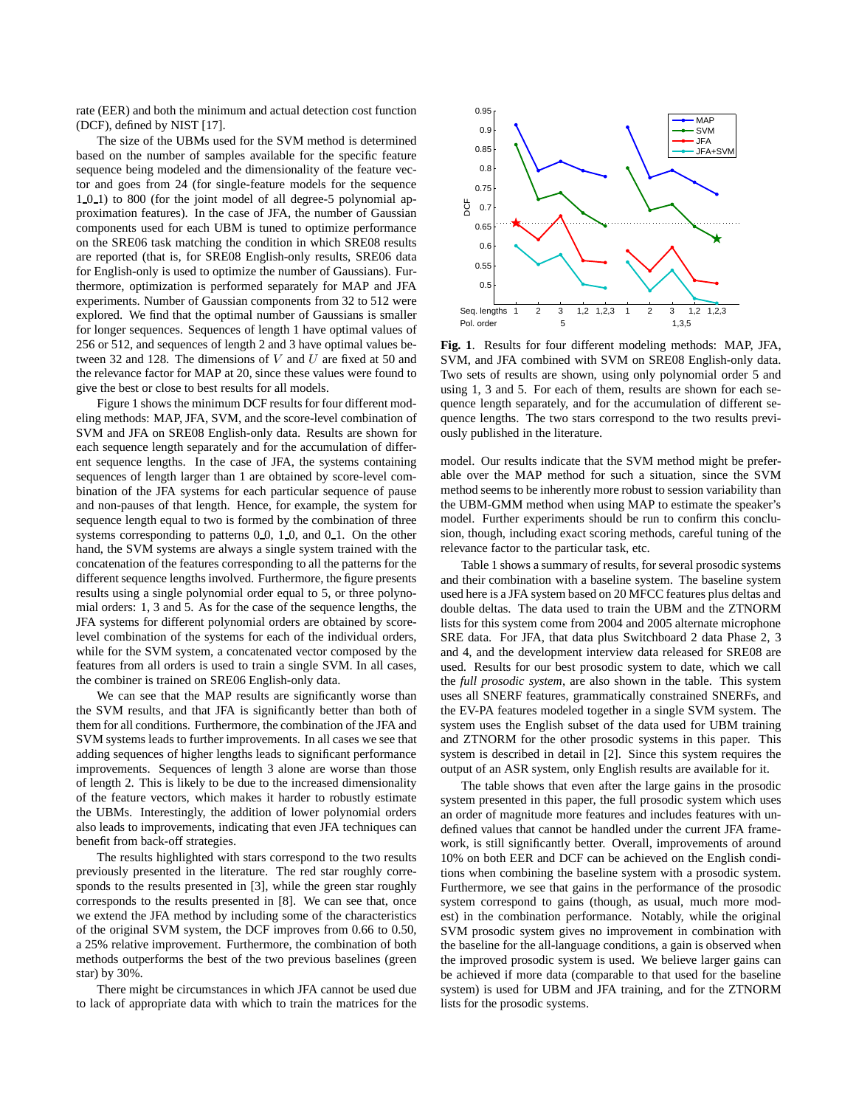rate (EER) and both the minimum and actual detection cost function (DCF), defined by NIST [17].

The size of the UBMs used for the SVM method is determined based on the number of samples available for the specific feature sequence being modeled and the dimensionality of the feature vector and goes from 24 (for single-feature models for the sequence 1\_0\_1) to 800 (for the joint model of all degree-5 polynomial approximation features). In the case of JFA, the number of Gaussian components used for each UBM is tuned to optimize performance on the SRE06 task matching the condition in which SRE08 results are reported (that is, for SRE08 English-only results, SRE06 data for English-only is used to optimize the number of Gaussians). Furthermore, optimization is performed separately for MAP and JFA experiments. Number of Gaussian components from 32 to 512 were explored. We find that the optimal number of Gaussians is smaller for longer sequences. Sequences of length 1 have optimal values of 256 or 512, and sequences of length 2 and 3 have optimal values between 32 and 128. The dimensions of  $V$  and  $U$  are fixed at 50 and the relevance factor for MAP at 20, since these values were found to give the best or close to best results for all models.

Figure 1 shows the minimum DCF results for four different modeling methods: MAP, JFA, SVM, and the score-level combination of SVM and JFA on SRE08 English-only data. Results are shown for each sequence length separately and for the accumulation of different sequence lengths. In the case of JFA, the systems containing sequences of length larger than 1 are obtained by score-level combination of the JFA systems for each particular sequence of pause and non-pauses of that length. Hence, for example, the system for sequence length equal to two is formed by the combination of three systems corresponding to patterns  $0, 0, 1, 0$ , and  $0, 1$ . On the other hand, the SVM systems are always a single system trained with the concatenation of the features corresponding to all the patterns for the different sequence lengths involved. Furthermore, the figure presents results using a single polynomial order equal to 5, or three polynomial orders: 1, 3 and 5. As for the case of the sequence lengths, the JFA systems for different polynomial orders are obtained by scorelevel combination of the systems for each of the individual orders, while for the SVM system, a concatenated vector composed by the features from all orders is used to train a single SVM. In all cases, the combiner is trained on SRE06 English-only data.

We can see that the MAP results are significantly worse than the SVM results, and that JFA is significantly better than both of them for all conditions. Furthermore, the combination of the JFA and SVM systems leads to further improvements. In all cases we see that adding sequences of higher lengths leads to significant performance improvements. Sequences of length 3 alone are worse than those of length 2. This is likely to be due to the increased dimensionality of the feature vectors, which makes it harder to robustly estimate the UBMs. Interestingly, the addition of lower polynomial orders also leads to improvements, indicating that even JFA techniques can benefit from back-off strategies.

The results highlighted with stars correspond to the two results previously presented in the literature. The red star roughly corresponds to the results presented in [3], while the green star roughly corresponds to the results presented in [8]. We can see that, once we extend the JFA method by including some of the characteristics of the original SVM system, the DCF improves from 0.66 to 0.50, a 25% relative improvement. Furthermore, the combination of both methods outperforms the best of the two previous baselines (green star) by 30%.

There might be circumstances in which JFA cannot be used due to lack of appropriate data with which to train the matrices for the



**Fig. 1**. Results for four different modeling methods: MAP, JFA, SVM, and JFA combined with SVM on SRE08 English-only data. Two sets of results are shown, using only polynomial order 5 and using 1, 3 and 5. For each of them, results are shown for each sequence length separately, and for the accumulation of different sequence lengths. The two stars correspond to the two results previously published in the literature.

model. Our results indicate that the SVM method might be preferable over the MAP method for such a situation, since the SVM method seems to be inherently more robust to session variability than the UBM-GMM method when using MAP to estimate the speaker's model. Further experiments should be run to confirm this conclusion, though, including exact scoring methods, careful tuning of the relevance factor to the particular task, etc.

Table 1 shows a summary of results, for several prosodic systems and their combination with a baseline system. The baseline system used here is a JFA system based on 20 MFCC features plus deltas and double deltas. The data used to train the UBM and the ZTNORM lists for this system come from 2004 and 2005 alternate microphone SRE data. For JFA, that data plus Switchboard 2 data Phase 2, 3 and 4, and the development interview data released for SRE08 are used. Results for our best prosodic system to date, which we call the *full prosodic system*, are also shown in the table. This system uses all SNERF features, grammatically constrained SNERFs, and the EV-PA features modeled together in a single SVM system. The system uses the English subset of the data used for UBM training and ZTNORM for the other prosodic systems in this paper. This system is described in detail in [2]. Since this system requires the output of an ASR system, only English results are available for it.

The table shows that even after the large gains in the prosodic system presented in this paper, the full prosodic system which uses an order of magnitude more features and includes features with undefined values that cannot be handled under the current JFA framework, is still significantly better. Overall, improvements of around 10% on both EER and DCF can be achieved on the English conditions when combining the baseline system with a prosodic system. Furthermore, we see that gains in the performance of the prosodic system correspond to gains (though, as usual, much more modest) in the combination performance. Notably, while the original SVM prosodic system gives no improvement in combination with the baseline for the all-language conditions, a gain is observed when the improved prosodic system is used. We believe larger gains can be achieved if more data (comparable to that used for the baseline system) is used for UBM and JFA training, and for the ZTNORM lists for the prosodic systems.